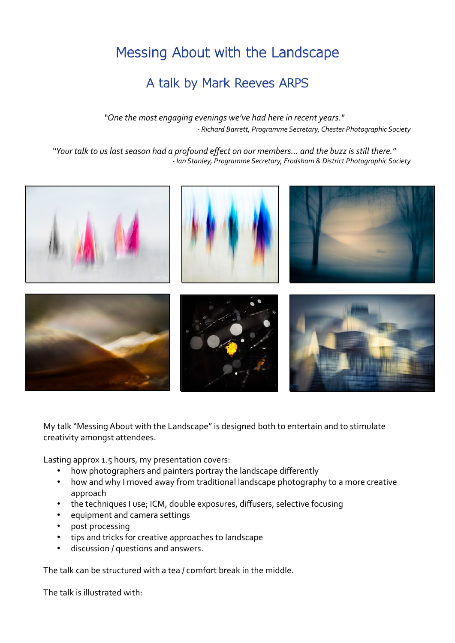## Messing About with the Landscape

## A talk by Mark Reeves ARPS

*"One the most engaging evenings we've had here in recent years." - Richard Barrett, Programme Secretary, Chester Photographic Society*

*"Your talk to us last season had a profound effect on our members… and the buzz is still there." - Ian Stanley, Programme Secretary, Frodsham & District Photographic Society*



My talk "Messing About with the Landscape" is designed both to entertain and to stimulate creativity amongst attendees.

Lasting approx 1.5 hours, my presentation covers:

- how photographers and painters portray the landscape differently
- how and why I moved away from traditional landscape photography to a more creative approach
- the techniques I use; ICM, double exposures, diffusers, selective focusing
- equipment and camera settings
- post processing
- tips and tricks for creative approaches to landscape
- discussion / questions and answers.

The talk can be structured with a tea / comfort break in the middle.

The talk is illustrated with: